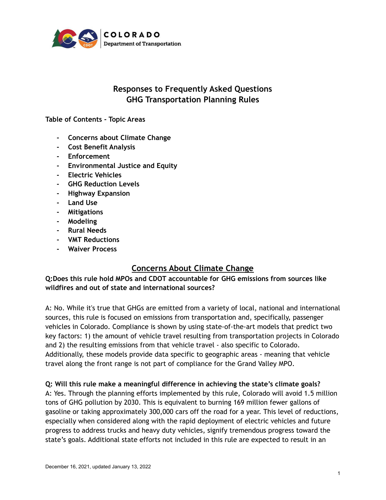

# **Responses to Frequently Asked Questions GHG Transportation Planning Rules**

#### **Table of Contents - Topic Areas**

- **- Concerns about Climate Change**
- **- Cost Benefit Analysis**
- **- Enforcement**
- **- Environmental Justice and Equity**
- **- Electric Vehicles**
- **- GHG Reduction Levels**
- **- Highway Expansion**
- **- Land Use**
- **- Mitigations**
- **- Modeling**
- **- Rural Needs**
- **- VMT Reductions**
- **- Waiver Process**

# **Concerns About Climate Change**

**Q:Does this rule hold MPOs and CDOT accountable for GHG emissions from sources like wildfires and out of state and international sources?**

A: No. While it's true that GHGs are emitted from a variety of local, national and international sources, this rule is focused on emissions from transportation and, specifically, passenger vehicles in Colorado. Compliance is shown by using state-of-the-art models that predict two key factors: 1) the amount of vehicle travel resulting from transportation projects in Colorado and 2) the resulting emissions from that vehicle travel - also specific to Colorado. Additionally, these models provide data specific to geographic areas - meaning that vehicle travel along the front range is not part of compliance for the Grand Valley MPO.

**Q: Will this rule make a meaningful difference in achieving the state's climate goals?** A: Yes. Through the planning efforts implemented by this rule, Colorado will avoid 1.5 million tons of GHG pollution by 2030. This is equivalent to burning 169 million fewer gallons of gasoline or taking approximately 300,000 cars off the road for a year. This level of reductions, especially when considered along with the rapid deployment of electric vehicles and future progress to address trucks and heavy duty vehicles, signify tremendous progress toward the state's goals. Additional state efforts not included in this rule are expected to result in an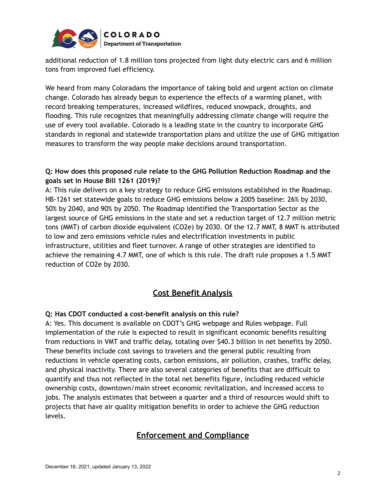

additional reduction of 1.8 million tons projected from light duty electric cars and 6 million tons from improved fuel efficiency.

We heard from many Coloradans the importance of taking bold and urgent action on climate change. Colorado has already begun to experience the effects of a warming planet, with record breaking temperatures, increased wildfires, reduced snowpack, droughts, and flooding. This rule recognizes that meaningfully addressing climate change will require the use of every tool available. Colorado is a leading state in the country to incorporate GHG standards in regional and statewide transportation plans and utilize the use of GHG mitigation measures to transform the way people make decisions around transportation.

### **Q: How does this proposed rule relate to the GHG Pollution Reduction Roadmap and the goals set in House Bill 1261 (2019)?**

A: This rule delivers on a key strategy to reduce GHG emissions established in the Roadmap. HB-1261 set statewide goals to reduce GHG emissions below a 2005 baseline: 26% by 2030, 50% by 2040, and 90% by 2050. The Roadmap identified the Transportation Sector as the largest source of GHG emissions in the state and set a reduction target of 12.7 million metric tons (MMT) of carbon dioxide equivalent (CO2e) by 2030. Of the 12.7 MMT, 8 MMT is attributed to low and zero emissions vehicle rules and electrification investments in public infrastructure, utilities and fleet turnover. A range of other strategies are identified to achieve the remaining 4.7 MMT, one of which is this rule. The draft rule proposes a 1.5 MMT reduction of CO2e by 2030.

# **Cost Benefit Analysis**

#### **Q: Has CDOT conducted a cost-benefit analysis on this rule?**

A: Yes. This document is available on CDOT's GHG webpage and Rules webpage. Full implementation of the rule is expected to result in significant economic benefits resulting from reductions in VMT and traffic delay, totaling over \$40.3 billion in net benefits by 2050. These benefits include cost savings to travelers and the general public resulting from reductions in vehicle operating costs, carbon emissions, air pollution, crashes, traffic delay, and physical inactivity. There are also several categories of benefits that are difficult to quantify and thus not reflected in the total net benefits figure, including reduced vehicle ownership costs, downtown/main street economic revitalization, and increased access to jobs. The analysis estimates that between a quarter and a third of resources would shift to projects that have air quality mitigation benefits in order to achieve the GHG reduction levels.

# **Enforcement and Compliance**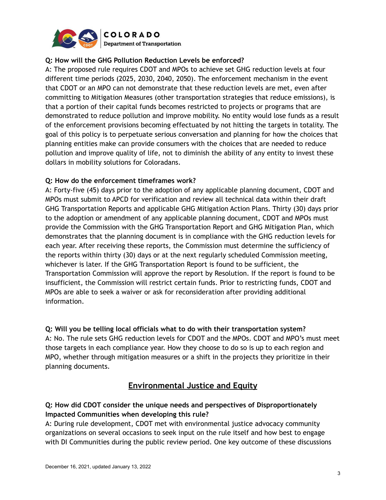

#### **Q: How will the GHG Pollution Reduction Levels be enforced?**

A: The proposed rule requires CDOT and MPOs to achieve set GHG reduction levels at four different time periods (2025, 2030, 2040, 2050). The enforcement mechanism in the event that CDOT or an MPO can not demonstrate that these reduction levels are met, even after committing to Mitigation Measures (other transportation strategies that reduce emissions), is that a portion of their capital funds becomes restricted to projects or programs that are demonstrated to reduce pollution and improve mobility. No entity would lose funds as a result of the enforcement provisions becoming effectuated by not hitting the targets in totality. The goal of this policy is to perpetuate serious conversation and planning for how the choices that planning entities make can provide consumers with the choices that are needed to reduce pollution and improve quality of life, not to diminish the ability of any entity to invest these dollars in mobility solutions for Coloradans.

#### **Q: How do the enforcement timeframes work?**

A: Forty-five (45) days prior to the adoption of any applicable planning document, CDOT and MPOs must submit to APCD for verification and review all technical data within their draft GHG Transportation Reports and applicable GHG Mitigation Action Plans. Thirty (30) days prior to the adoption or amendment of any applicable planning document, CDOT and MPOs must provide the Commission with the GHG Transportation Report and GHG Mitigation Plan, which demonstrates that the planning document is in compliance with the GHG reduction levels for each year. After receiving these reports, the Commission must determine the sufficiency of the reports within thirty (30) days or at the next regularly scheduled Commission meeting, whichever is later. If the GHG Transportation Report is found to be sufficient, the Transportation Commission will approve the report by Resolution. If the report is found to be insufficient, the Commission will restrict certain funds. Prior to restricting funds, CDOT and MPOs are able to seek a waiver or ask for reconsideration after providing additional information.

**Q: Will you be telling local officials what to do with their transportation system?** A: No. The rule sets GHG reduction levels for CDOT and the MPOs. CDOT and MPO's must meet those targets in each compliance year. How they choose to do so is up to each region and MPO, whether through mitigation measures or a shift in the projects they prioritize in their planning documents.

## **Environmental Justice and Equity**

### **Q: How did CDOT consider the unique needs and perspectives of Disproportionately Impacted Communities when developing this rule?**

A: During rule development, CDOT met with environmental justice advocacy community organizations on several occasions to seek input on the rule itself and how best to engage with DI Communities during the public review period. One key outcome of these discussions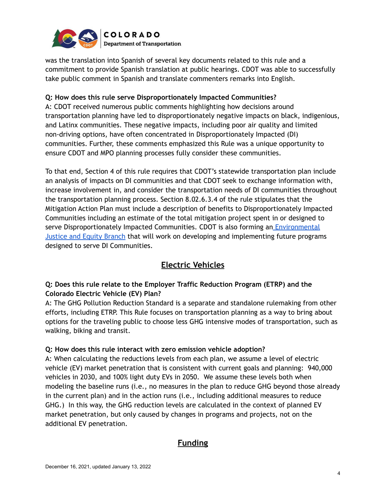

was the translation into Spanish of several key documents related to this rule and a commitment to provide Spanish translation at public hearings. CDOT was able to successfully take public comment in Spanish and translate commenters remarks into English.

#### **Q: How does this rule serve Disproportionately Impacted Communities?**

A: CDOT received numerous public comments highlighting how decisions around transportation planning have led to disproportionately negative impacts on black, indigenious, and Latinx communities. These negative impacts, including poor air quality and limited non-driving options, have often concentrated in Disproportionately Impacted (DI) communities. Further, these comments emphasized this Rule was a unique opportunity to ensure CDOT and MPO planning processes fully consider these communities.

To that end, Section 4 of this rule requires that CDOT's statewide transportation plan include an analysis of impacts on DI communities and that CDOT seek to exchange information with, increase involvement in, and consider the transportation needs of DI communities throughout the transportation planning process. Section 8.02.6.3.4 of the rule stipulates that the Mitigation Action Plan must include a description of benefits to Disproportionately Impacted Communities including an estimate of the total mitigation project spent in or designed to serve Disproportionately Impacted Communities. CDOT is also forming an *[Environmental](https://www.codot.gov/news/2021/december/cdot-welcomes-marsha-nelson-environmental-justice)* [Justice](https://www.codot.gov/news/2021/december/cdot-welcomes-marsha-nelson-environmental-justice) and Equity Branch that will work on developing and implementing future programs designed to serve DI Communities.

# **Electric Vehicles**

### **Q: Does this rule relate to the Employer Traffic Reduction Program (ETRP) and the Colorado Electric Vehicle (EV) Plan?**

A: The GHG Pollution Reduction Standard is a separate and standalone rulemaking from other efforts, including ETRP. This Rule focuses on transportation planning as a way to bring about options for the traveling public to choose less GHG intensive modes of transportation, such as walking, biking and transit.

#### **Q: How does this rule interact with zero emission vehicle adoption?**

A: When calculating the reductions levels from each plan, we assume a level of electric vehicle (EV) market penetration that is consistent with current goals and planning: 940,000 vehicles in 2030, and 100% light duty EVs in 2050. We assume these levels both when modeling the baseline runs (i.e., no measures in the plan to reduce GHG beyond those already in the current plan) and in the action runs (i.e., including additional measures to reduce GHG.) In this way, the GHG reduction levels are calculated in the context of planned EV market penetration, but only caused by changes in programs and projects, not on the additional EV penetration.

## **Funding**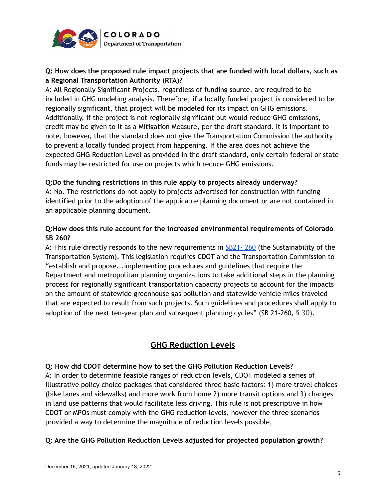

### **Q: How does the proposed rule impact projects that are funded with local dollars, such as a Regional Transportation Authority (RTA)?**

A: All Regionally Significant Projects, regardless of funding source, are required to be included in GHG modeling analysis. Therefore, if a locally funded project is considered to be regionally significant, that project will be modeled for its impact on GHG emissions. Additionally, if the project is not regionally significant but would reduce GHG emissions, credit may be given to it as a Mitigation Measure, per the draft standard. It is important to note, however, that the standard does not give the Transportation Commission the authority to prevent a locally funded project from happening. If the area does not achieve the expected GHG Reduction Level as provided in the draft standard, only certain federal or state funds may be restricted for use on projects which reduce GHG emissions.

#### **Q:Do the funding restrictions in this rule apply to projects already underway?**

A: No. The restrictions do not apply to projects advertised for construction with funding identified prior to the adoption of the applicable planning document or are not contained in an applicable planning document.

#### **Q:How does this rule account for the increased environmental requirements of Colorado SB 260?**

A: This rule directly responds to the new requirements in  $SB21 - 260$  (the Sustainability of the Transportation System). This legislation requires CDOT and the Transportation Commission to "establish and propose...implementing procedures and guidelines that require the Department and metropolitan planning organizations to take additional steps in the planning process for regionally significant transportation capacity projects to account for the impacts on the amount of statewide greenhouse gas pollution and statewide vehicle miles traveled that are expected to result from such projects. Such guidelines and procedures shall apply to adoption of the next ten-year plan and subsequent planning cycles" (SB 21-260, § 30).

# **GHG Reduction Levels**

#### **Q: How did CDOT determine how to set the GHG Pollution Reduction Levels?**

A: In order to determine feasible ranges of reduction levels, CDOT modeled a series of illustrative policy choice packages that considered three basic factors: 1) more travel choices (bike lanes and sidewalks) and more work from home 2) more transit options and 3) changes in land use patterns that would facilitate less driving. This rule is not prescriptive in how CDOT or MPOs must comply with the GHG reduction levels, however the three scenarios provided a way to determine the magnitude of reduction levels possible,

#### **Q: Are the GHG Pollution Reduction Levels adjusted for projected population growth?**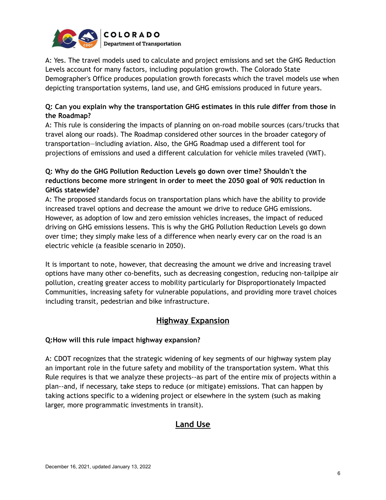

A: Yes. The travel models used to calculate and project emissions and set the GHG Reduction Levels account for many factors, including population growth. The Colorado State Demographer's Office produces population growth forecasts which the travel models use when depicting transportation systems, land use, and GHG emissions produced in future years.

#### **Q: Can you explain why the transportation GHG estimates in this rule differ from those in the Roadmap?**

A: This rule is considering the impacts of planning on on-road mobile sources (cars/trucks that travel along our roads). The Roadmap considered other sources in the broader category of transportation—including aviation. Also, the GHG Roadmap used a different tool for projections of emissions and used a different calculation for vehicle miles traveled (VMT).

### **Q: Why do the GHG Pollution Reduction Levels go down over time? Shouldn't the reductions become more stringent in order to meet the 2050 goal of 90% reduction in GHGs statewide?**

A: The proposed standards focus on transportation plans which have the ability to provide increased travel options and decrease the amount we drive to reduce GHG emissions. However, as adoption of low and zero emission vehicles increases, the impact of reduced driving on GHG emissions lessens. This is why the GHG Pollution Reduction Levels go down over time; they simply make less of a difference when nearly every car on the road is an electric vehicle (a feasible scenario in 2050).

It is important to note, however, that decreasing the amount we drive and increasing travel options have many other co-benefits, such as decreasing congestion, reducing non-tailpipe air pollution, creating greater access to mobility particularly for Disproportionately Impacted Communities, increasing safety for vulnerable populations, and providing more travel choices including transit, pedestrian and bike infrastructure.

# **Highway Expansion**

#### **Q:How will this rule impact highway expansion?**

A: CDOT recognizes that the strategic widening of key segments of our highway system play an important role in the future safety and mobility of the transportation system. What this Rule requires is that we analyze these projects--as part of the entire mix of projects within a plan--and, if necessary, take steps to reduce (or mitigate) emissions. That can happen by taking actions specific to a widening project or elsewhere in the system (such as making larger, more programmatic investments in transit).

# **Land Use**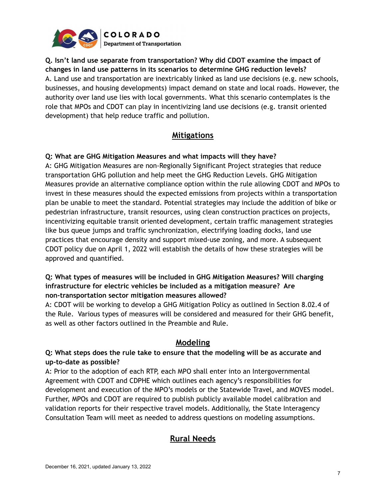

## **Q. Isn't land use separate from transportation? Why did CDOT examine the impact of changes in land use patterns in its scenarios to determine GHG reduction levels?** A. Land use and transportation are inextricably linked as land use decisions (e.g. new schools, businesses, and housing developments) impact demand on state and local roads. However, the authority over land use lies with local governments. What this scenario contemplates is the role that MPOs and CDOT can play in incentivizing land use decisions (e.g. transit oriented development) that help reduce traffic and pollution.

## **Mitigations**

### **Q: What are GHG Mitigation Measures and what impacts will they have?**

A: GHG Mitigation Measures are non-Regionally Significant Project strategies that reduce transportation GHG pollution and help meet the GHG Reduction Levels. GHG Mitigation Measures provide an alternative compliance option within the rule allowing CDOT and MPOs to invest in these measures should the expected emissions from projects within a transportation plan be unable to meet the standard. Potential strategies may include the addition of bike or pedestrian infrastructure, transit resources, using clean construction practices on projects, incentivizing equitable transit oriented development, certain traffic management strategies like bus queue jumps and traffic synchronization, electrifying loading docks, land use practices that encourage density and support mixed-use zoning, and more. A subsequent CDOT policy due on April 1, 2022 will establish the details of how these strategies will be approved and quantified.

#### **Q: What types of measures will be included in GHG Mitigation Measures? Will charging infrastructure for electric vehicles be included as a mitigation measure? Are non-transportation sector mitigation measures allowed?**

A: CDOT will be working to develop a GHG Mitigation Policy as outlined in Section 8.02.4 of the Rule. Various types of measures will be considered and measured for their GHG benefit, as well as other factors outlined in the Preamble and Rule.

## **Modeling**

### **Q: What steps does the rule take to ensure that the modeling will be as accurate and up-to-date as possible?**

A: Prior to the adoption of each RTP, each MPO shall enter into an Intergovernmental Agreement with CDOT and CDPHE which outlines each agency's responsibilities for development and execution of the MPO's models or the Statewide Travel, and MOVES model. Further, MPOs and CDOT are required to publish publicly available model calibration and validation reports for their respective travel models. Additionally, the State Interagency Consultation Team will meet as needed to address questions on modeling assumptions.

# **Rural Needs**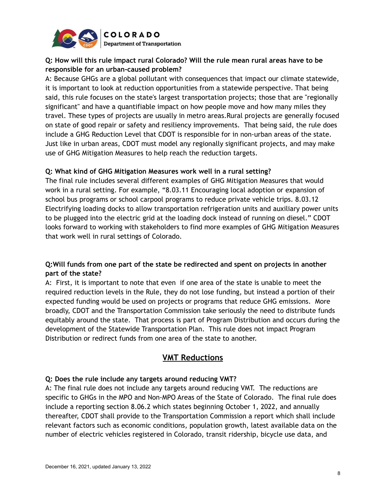

## **Q: How will this rule impact rural Colorado? Will the rule mean rural areas have to be responsible for an urban-caused problem?**

A: Because GHGs are a global pollutant with consequences that impact our climate statewide, it is important to look at reduction opportunities from a statewide perspective. That being said, this rule focuses on the state's largest transportation projects; those that are "regionally significant" and have a quantifiable impact on how people move and how many miles they travel. These types of projects are usually in metro areas.Rural projects are generally focused on state of good repair or safety and resiliency improvements. That being said, the rule does include a GHG Reduction Level that CDOT is responsible for in non-urban areas of the state. Just like in urban areas, CDOT must model any regionally significant projects, and may make use of GHG Mitigation Measures to help reach the reduction targets.

#### **Q: What kind of GHG Mitigation Measures work well in a rural setting?**

The final rule includes several different examples of GHG Mitigation Measures that would work in a rural setting. For example, "8.03.11 Encouraging local adoption or expansion of school bus programs or school carpool programs to reduce private vehicle trips. 8.03.12 Electrifying loading docks to allow transportation refrigeration units and auxiliary power units to be plugged into the electric grid at the loading dock instead of running on diesel." CDOT looks forward to working with stakeholders to find more examples of GHG Mitigation Measures that work well in rural settings of Colorado.

#### **Q:Will funds from one part of the state be redirected and spent on projects in another part of the state?**

A: First, it is important to note that even if one area of the state is unable to meet the required reduction levels in the Rule, they do not lose funding, but instead a portion of their expected funding would be used on projects or programs that reduce GHG emissions. More broadly, CDOT and the Transportation Commission take seriously the need to distribute funds equitably around the state. That process is part of Program Distribution and occurs during the development of the Statewide Transportation Plan. This rule does not impact Program Distribution or redirect funds from one area of the state to another.

# **VMT Reductions**

#### **Q: Does the rule include any targets around reducing VMT?**

A: The final rule does not include any targets around reducing VMT. The reductions are specific to GHGs in the MPO and Non-MPO Areas of the State of Colorado. The final rule does include a reporting section 8.06.2 which states beginning October 1, 2022, and annually thereafter, CDOT shall provide to the Transportation Commission a report which shall include relevant factors such as economic conditions, population growth, latest available data on the number of electric vehicles registered in Colorado, transit ridership, bicycle use data, and